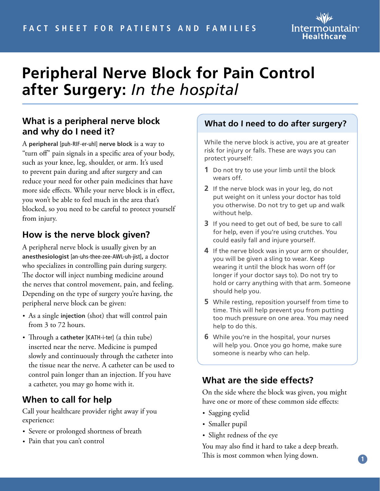

# **Peripheral Nerve Block for Pain Control after Surgery:** *In the hospital*

# **What is a peripheral nerve block and why do I need it?**

A **peripheral** [puh-RIF-er-uhl] **nerve block** is a way to "turn off" pain signals in a specific area of your body, such as your knee, leg, shoulder, or arm. It's used to prevent pain during and after surgery and can reduce your need for other pain medicines that have more side effects. While your nerve block is in effect, you won't be able to feel much in the area that's blocked, so you need to be careful to protect yourself from injury.

# **How is the nerve block given?**

A peripheral nerve block is usually given by an **anesthesiologist** [an-uhs-thee-zee-AWL-uh-jist]**,** a doctor who specializes in controlling pain during surgery. The doctor will inject numbing medicine around the nerves that control movement, pain, and feeling. Depending on the type of surgery you're having, the peripheral nerve block can be given:

- As a single **injection** (shot) that will control pain from 3 to 72 hours.
- Through a **catheter** [KATH-i-ter] (a thin tube) inserted near the nerve. Medicine is pumped slowly and continuously through the catheter into the tissue near the nerve. A catheter can be used to control pain longer than an injection. If you have a catheter, you may go home with it.

# **When to call for help**

Call your healthcare provider right away if you experience:

- Severe or prolonged shortness of breath
- Pain that you can't control

## **What do I need to do after surgery?**

While the nerve block is active, you are at greater risk for injury or falls. These are ways you can protect yourself:

- **1** Do not try to use your limb until the block wears off.
- **2** If the nerve block was in your leg, do not put weight on it unless your doctor has told you otherwise. Do not try to get up and walk without help.
- **3** If you need to get out of bed, be sure to call for help, even if you're using crutches. You could easily fall and injure yourself.
- **4** If the nerve block was in your arm or shoulder, you will be given a sling to wear. Keep wearing it until the block has worn off (or longer if your doctor says to). Do not try to hold or carry anything with that arm. Someone should help you.
- **5** While resting, reposition yourself from time to time. This will help prevent you from putting too much pressure on one area. You may need help to do this.
- **6** While you're in the hospital, your nurses will help you. Once you go home, make sure someone is nearby who can help.

# **What are the side effects?**

On the side where the block was given, you might have one or more of these common side effects:

- Sagging eyelid
- Smaller pupil
- Slight redness of the eye

You may also find it hard to take a deep breath. This is most common when lying down.

**1**